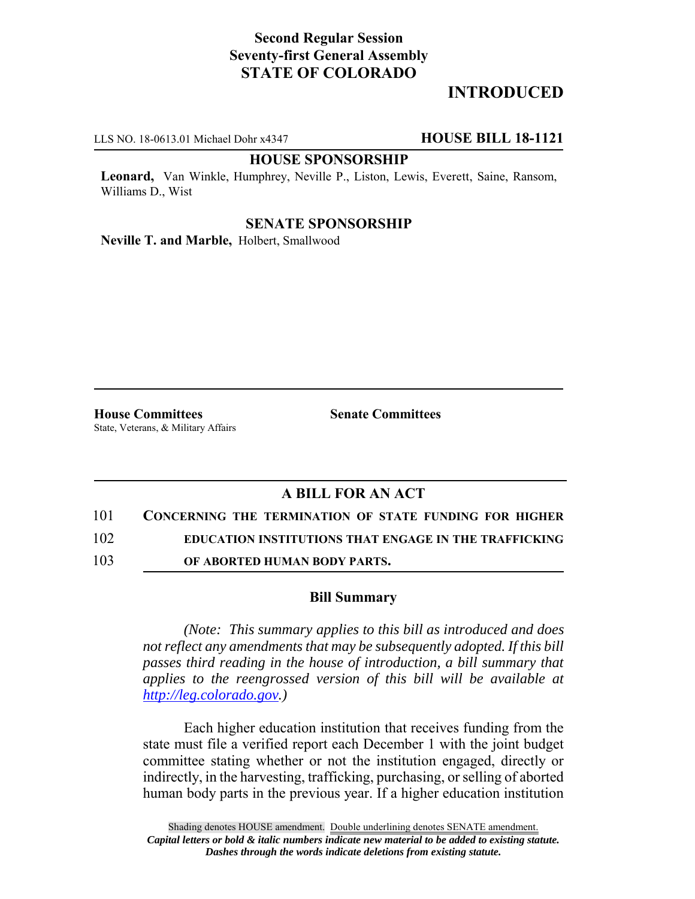# **Second Regular Session Seventy-first General Assembly STATE OF COLORADO**

# **INTRODUCED**

LLS NO. 18-0613.01 Michael Dohr x4347 **HOUSE BILL 18-1121**

#### **HOUSE SPONSORSHIP**

**Leonard,** Van Winkle, Humphrey, Neville P., Liston, Lewis, Everett, Saine, Ransom, Williams D., Wist

#### **SENATE SPONSORSHIP**

**Neville T. and Marble,** Holbert, Smallwood

**House Committees Senate Committees** State, Veterans, & Military Affairs

### **A BILL FOR AN ACT**

- 101 **CONCERNING THE TERMINATION OF STATE FUNDING FOR HIGHER**
- 102 **EDUCATION INSTITUTIONS THAT ENGAGE IN THE TRAFFICKING**
- 103 **OF ABORTED HUMAN BODY PARTS.**

### **Bill Summary**

*(Note: This summary applies to this bill as introduced and does not reflect any amendments that may be subsequently adopted. If this bill passes third reading in the house of introduction, a bill summary that applies to the reengrossed version of this bill will be available at http://leg.colorado.gov.)*

Each higher education institution that receives funding from the state must file a verified report each December 1 with the joint budget committee stating whether or not the institution engaged, directly or indirectly, in the harvesting, trafficking, purchasing, or selling of aborted human body parts in the previous year. If a higher education institution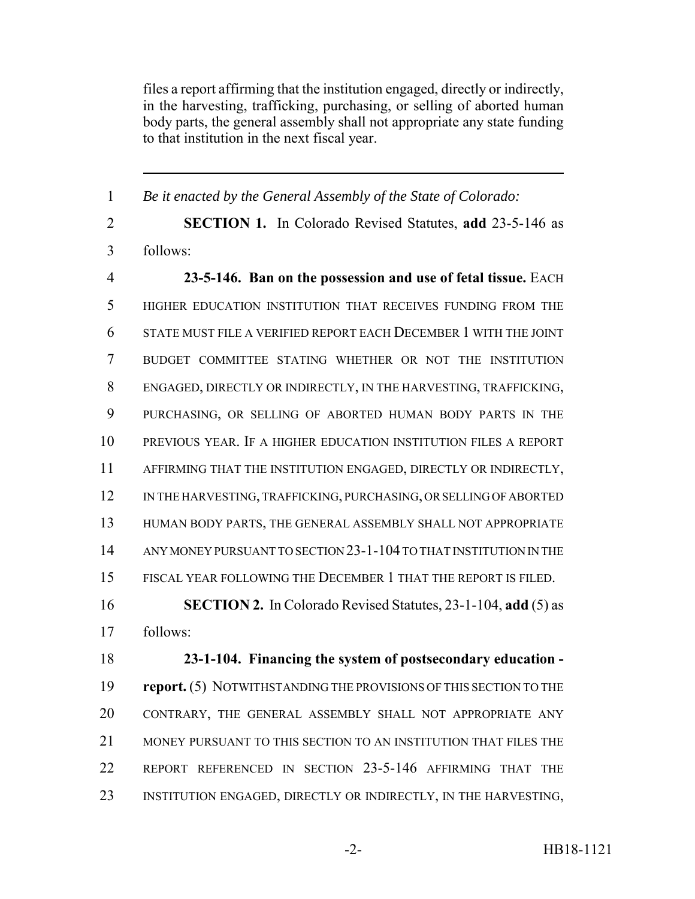files a report affirming that the institution engaged, directly or indirectly, in the harvesting, trafficking, purchasing, or selling of aborted human body parts, the general assembly shall not appropriate any state funding to that institution in the next fiscal year.

 *Be it enacted by the General Assembly of the State of Colorado:* **SECTION 1.** In Colorado Revised Statutes, **add** 23-5-146 as follows: **23-5-146. Ban on the possession and use of fetal tissue.** EACH HIGHER EDUCATION INSTITUTION THAT RECEIVES FUNDING FROM THE STATE MUST FILE A VERIFIED REPORT EACH DECEMBER 1 WITH THE JOINT BUDGET COMMITTEE STATING WHETHER OR NOT THE INSTITUTION ENGAGED, DIRECTLY OR INDIRECTLY, IN THE HARVESTING, TRAFFICKING, PURCHASING, OR SELLING OF ABORTED HUMAN BODY PARTS IN THE PREVIOUS YEAR. IF A HIGHER EDUCATION INSTITUTION FILES A REPORT AFFIRMING THAT THE INSTITUTION ENGAGED, DIRECTLY OR INDIRECTLY, 12 IN THE HARVESTING, TRAFFICKING, PURCHASING, OR SELLING OF ABORTED HUMAN BODY PARTS, THE GENERAL ASSEMBLY SHALL NOT APPROPRIATE ANY MONEY PURSUANT TO SECTION 23-1-104 TO THAT INSTITUTION IN THE FISCAL YEAR FOLLOWING THE DECEMBER 1 THAT THE REPORT IS FILED. **SECTION 2.** In Colorado Revised Statutes, 23-1-104, **add** (5) as follows: **23-1-104. Financing the system of postsecondary education - report.** (5) NOTWITHSTANDING THE PROVISIONS OF THIS SECTION TO THE CONTRARY, THE GENERAL ASSEMBLY SHALL NOT APPROPRIATE ANY MONEY PURSUANT TO THIS SECTION TO AN INSTITUTION THAT FILES THE REPORT REFERENCED IN SECTION 23-5-146 AFFIRMING THAT THE INSTITUTION ENGAGED, DIRECTLY OR INDIRECTLY, IN THE HARVESTING,